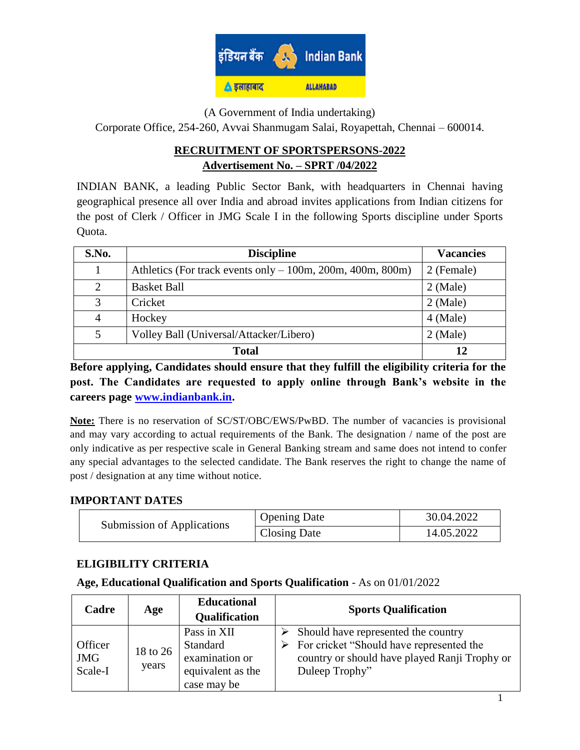

(A Government of India undertaking)

Corporate Office, 254-260, Avvai Shanmugam Salai, Royapettah, Chennai – 600014.

# **RECRUITMENT OF SPORTSPERSONS-2022 Advertisement No. – SPRT /04/2022**

INDIAN BANK, a leading Public Sector Bank, with headquarters in Chennai having geographical presence all over India and abroad invites applications from Indian citizens for the post of Clerk / Officer in JMG Scale I in the following Sports discipline under Sports Quota.

| S.No. | <b>Discipline</b>                                            | <b>Vacancies</b> |  |  |
|-------|--------------------------------------------------------------|------------------|--|--|
|       | Athletics (For track events only $-100m$ , 200m, 400m, 800m) | 2 (Female)       |  |  |
| 2     | <b>Basket Ball</b>                                           | $2$ (Male)       |  |  |
| 3     | Cricket                                                      | $2$ (Male)       |  |  |
| 4     | Hockey                                                       | $4$ (Male)       |  |  |
| 5     | Volley Ball (Universal/Attacker/Libero)                      | $2$ (Male)       |  |  |
|       | <b>Total</b>                                                 |                  |  |  |

**Before applying, Candidates should ensure that they fulfill the eligibility criteria for the post. The Candidates are requested to apply online through Bank's website in the careers page [www.indianbank.in.](http://www.indianbank.in/)**

**Note:** There is no reservation of SC/ST/OBC/EWS/PwBD. The number of vacancies is provisional and may vary according to actual requirements of the Bank. The designation / name of the post are only indicative as per respective scale in General Banking stream and same does not intend to confer any special advantages to the selected candidate. The Bank reserves the right to change the name of post / designation at any time without notice.

### **IMPORTANT DATES**

| Submission of Applications | <b>Opening Date</b> | 30.04.2022 |
|----------------------------|---------------------|------------|
|                            | <b>Closing Date</b> | 14.05.2022 |

# **ELIGIBILITY CRITERIA**

### **Age, Educational Qualification and Sports Qualification** - As on 01/01/2022

| Cadre                            | Age               | <b>Educational</b><br>Qualification                                           | <b>Sports Qualification</b>                                                                                                                                         |
|----------------------------------|-------------------|-------------------------------------------------------------------------------|---------------------------------------------------------------------------------------------------------------------------------------------------------------------|
| Officer<br><b>JMG</b><br>Scale-I | 18 to 26<br>years | Pass in XII<br>Standard<br>examination or<br>equivalent as the<br>case may be | Should have represented the country<br>$\triangleright$ For cricket "Should have represented the<br>country or should have played Ranji Trophy or<br>Duleep Trophy" |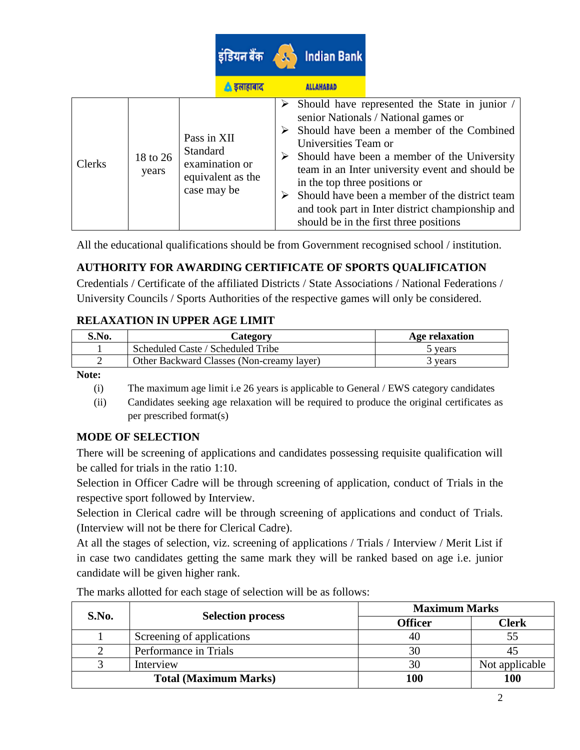|               |                   |                                        |                                     |   | इंडियन बैंक $\sqrt{\lambda}$ Indian Bank              |                                                                                                                                                                                                                                                                                                                                                                                                                        |
|---------------|-------------------|----------------------------------------|-------------------------------------|---|-------------------------------------------------------|------------------------------------------------------------------------------------------------------------------------------------------------------------------------------------------------------------------------------------------------------------------------------------------------------------------------------------------------------------------------------------------------------------------------|
|               |                   |                                        | ि इलाहाबाद                          |   | <b>ALLAHABAD</b>                                      |                                                                                                                                                                                                                                                                                                                                                                                                                        |
| <b>Clerks</b> | 18 to 26<br>years | Pass in XII<br>Standard<br>case may be | examination or<br>equivalent as the | ➤ | Universities Team or<br>in the top three positions or | $\triangleright$ Should have represented the State in junior /<br>senior Nationals / National games or<br>Should have been a member of the Combined<br>$\triangleright$ Should have been a member of the University<br>team in an Inter university event and should be<br>Should have been a member of the district team<br>and took part in Inter district championship and<br>should be in the first three positions |

All the educational qualifications should be from Government recognised school / institution.

# **AUTHORITY FOR AWARDING CERTIFICATE OF SPORTS QUALIFICATION**

Credentials / Certificate of the affiliated Districts / State Associations / National Federations / University Councils / Sports Authorities of the respective games will only be considered.

# **RELAXATION IN UPPER AGE LIMIT**

| S.No. | Category                                  | Age relaxation |
|-------|-------------------------------------------|----------------|
|       | Scheduled Caste / Scheduled Tribe         | 5 vears        |
|       | Other Backward Classes (Non-creamy layer) | ' years        |
|       |                                           |                |

**Note:**

- (i) The maximum age limit i.e 26 years is applicable to General / EWS category candidates
- (ii) Candidates seeking age relaxation will be required to produce the original certificates as per prescribed format(s)

# **MODE OF SELECTION**

There will be screening of applications and candidates possessing requisite qualification will be called for trials in the ratio 1:10.

Selection in Officer Cadre will be through screening of application, conduct of Trials in the respective sport followed by Interview.

Selection in Clerical cadre will be through screening of applications and conduct of Trials. (Interview will not be there for Clerical Cadre).

At all the stages of selection, viz. screening of applications / Trials / Interview / Merit List if in case two candidates getting the same mark they will be ranked based on age i.e. junior candidate will be given higher rank.

| S.No.                        | <b>Selection process</b>  | <b>Maximum Marks</b> |                |  |
|------------------------------|---------------------------|----------------------|----------------|--|
|                              |                           | <b>Officer</b>       | <b>Clerk</b>   |  |
|                              | Screening of applications | 40                   |                |  |
|                              | Performance in Trials     | 30                   |                |  |
|                              | Interview                 | 30                   | Not applicable |  |
| <b>Total (Maximum Marks)</b> |                           | 100                  | <b>100</b>     |  |

The marks allotted for each stage of selection will be as follows: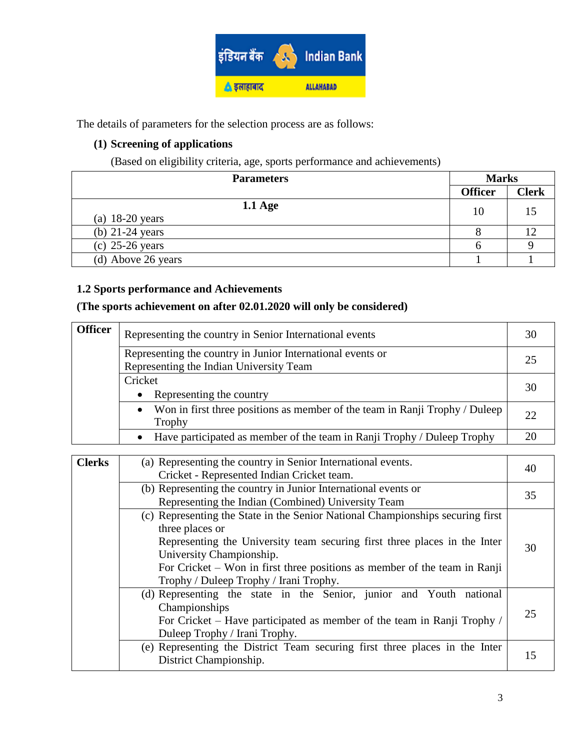

The details of parameters for the selection process are as follows:

# **(1) Screening of applications**

(Based on eligibility criteria, age, sports performance and achievements)

| <b>Parameters</b>                      |                | <b>Marks</b> |  |
|----------------------------------------|----------------|--------------|--|
|                                        | <b>Officer</b> | <b>Clerk</b> |  |
| $1.1 \text{ Age}$<br>(a) $18-20$ years | 10             |              |  |
| (b) $21-24$ years                      |                |              |  |
| $(c)$ 25-26 years                      |                |              |  |
| (d) Above 26 years                     |                |              |  |

### **1.2 Sports performance and Achievements**

### **(The sports achievement on after 02.01.2020 will only be considered)**

| <b>Officer</b> | Representing the country in Senior International events                                               |    |  |  |
|----------------|-------------------------------------------------------------------------------------------------------|----|--|--|
|                | Representing the country in Junior International events or<br>Representing the Indian University Team |    |  |  |
|                | Cricket<br>Representing the country<br>٠                                                              |    |  |  |
|                | Won in first three positions as member of the team in Ranji Trophy / Duleep<br>$\bullet$<br>Trophy    | 22 |  |  |
|                | Have participated as member of the team in Ranji Trophy / Duleep Trophy<br>$\bullet$                  | 20 |  |  |
|                |                                                                                                       |    |  |  |

| <b>Clerks</b> | (a) Representing the country in Senior International events.<br>Cricket - Represented Indian Cricket team.                                                                                                                                                                                                                        | 40 |  |
|---------------|-----------------------------------------------------------------------------------------------------------------------------------------------------------------------------------------------------------------------------------------------------------------------------------------------------------------------------------|----|--|
|               | (b) Representing the country in Junior International events or<br>Representing the Indian (Combined) University Team                                                                                                                                                                                                              |    |  |
|               | (c) Representing the State in the Senior National Championships securing first<br>three places or<br>Representing the University team securing first three places in the Inter<br>University Championship.<br>For Cricket – Won in first three positions as member of the team in Ranji<br>Trophy / Duleep Trophy / Irani Trophy. | 30 |  |
|               | (d) Representing the state in the Senior, junior and Youth national<br>Championships<br>For Cricket – Have participated as member of the team in Ranji Trophy /<br>Duleep Trophy / Irani Trophy.                                                                                                                                  | 25 |  |
|               | (e) Representing the District Team securing first three places in the Inter<br>District Championship.                                                                                                                                                                                                                             | 15 |  |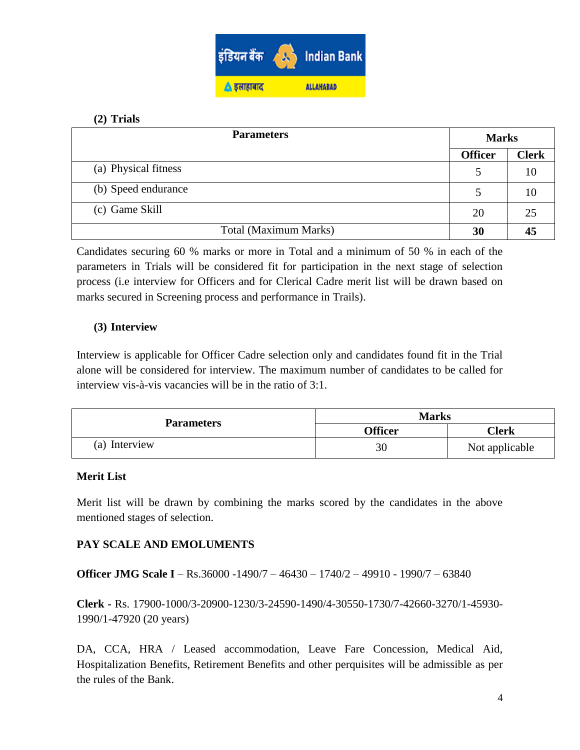

### **(2) Trials**

| <b>Parameters</b>     |                | <b>Marks</b> |  |
|-----------------------|----------------|--------------|--|
|                       | <b>Officer</b> | <b>Clerk</b> |  |
| (a) Physical fitness  | 5              | 10           |  |
| (b) Speed endurance   | 5              | 10           |  |
| (c) Game Skill        | 20             | 25           |  |
| Total (Maximum Marks) | 30             | 45           |  |

Candidates securing 60 % marks or more in Total and a minimum of 50 % in each of the parameters in Trials will be considered fit for participation in the next stage of selection process (i.e interview for Officers and for Clerical Cadre merit list will be drawn based on marks secured in Screening process and performance in Trails).

### **(3) Interview**

Interview is applicable for Officer Cadre selection only and candidates found fit in the Trial alone will be considered for interview. The maximum number of candidates to be called for interview vis-à-vis vacancies will be in the ratio of 3:1.

| <b>Parameters</b> | <b>Marks</b>   |                |  |
|-------------------|----------------|----------------|--|
|                   | <b>Officer</b> | Clerk          |  |
| (a) Interview     | 30             | Not applicable |  |

### **Merit List**

Merit list will be drawn by combining the marks scored by the candidates in the above mentioned stages of selection.

# **PAY SCALE AND EMOLUMENTS**

**Officer JMG Scale I** – Rs.36000 -1490/7 – 46430 – 1740/2 – 49910 - 1990/7 – 63840

**Clerk -** Rs. 17900-1000/3-20900-1230/3-24590-1490/4-30550-1730/7-42660-3270/1-45930- 1990/1-47920 (20 years)

DA, CCA, HRA / Leased accommodation, Leave Fare Concession, Medical Aid, Hospitalization Benefits, Retirement Benefits and other perquisites will be admissible as per the rules of the Bank.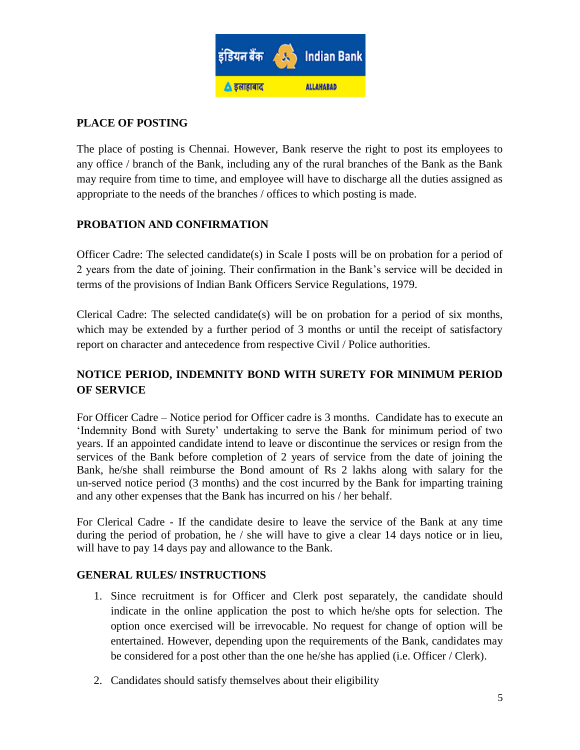

# **PLACE OF POSTING**

The place of posting is Chennai. However, Bank reserve the right to post its employees to any office / branch of the Bank, including any of the rural branches of the Bank as the Bank may require from time to time, and employee will have to discharge all the duties assigned as appropriate to the needs of the branches / offices to which posting is made.

### **PROBATION AND CONFIRMATION**

Officer Cadre: The selected candidate(s) in Scale I posts will be on probation for a period of 2 years from the date of joining. Their confirmation in the Bank"s service will be decided in terms of the provisions of Indian Bank Officers Service Regulations, 1979.

Clerical Cadre: The selected candidate(s) will be on probation for a period of six months, which may be extended by a further period of 3 months or until the receipt of satisfactory report on character and antecedence from respective Civil / Police authorities.

# **NOTICE PERIOD, INDEMNITY BOND WITH SURETY FOR MINIMUM PERIOD OF SERVICE**

For Officer Cadre – Notice period for Officer cadre is 3 months. Candidate has to execute an "Indemnity Bond with Surety" undertaking to serve the Bank for minimum period of two years. If an appointed candidate intend to leave or discontinue the services or resign from the services of the Bank before completion of 2 years of service from the date of joining the Bank, he/she shall reimburse the Bond amount of Rs 2 lakhs along with salary for the un-served notice period (3 months) and the cost incurred by the Bank for imparting training and any other expenses that the Bank has incurred on his / her behalf.

For Clerical Cadre - If the candidate desire to leave the service of the Bank at any time during the period of probation, he / she will have to give a clear 14 days notice or in lieu, will have to pay 14 days pay and allowance to the Bank.

### **GENERAL RULES/ INSTRUCTIONS**

- 1. Since recruitment is for Officer and Clerk post separately, the candidate should indicate in the online application the post to which he/she opts for selection. The option once exercised will be irrevocable. No request for change of option will be entertained. However, depending upon the requirements of the Bank, candidates may be considered for a post other than the one he/she has applied (i.e. Officer / Clerk).
- 2. Candidates should satisfy themselves about their eligibility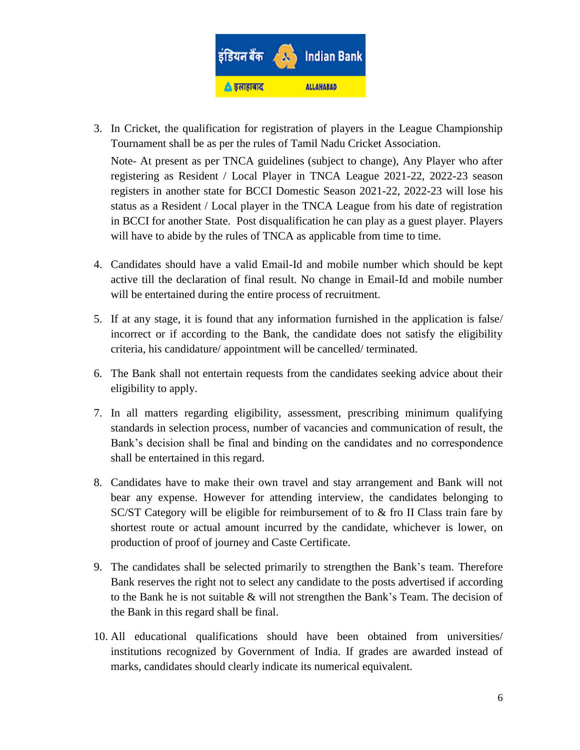

3. In Cricket, the qualification for registration of players in the League Championship Tournament shall be as per the rules of Tamil Nadu Cricket Association.

Note- At present as per TNCA guidelines (subject to change), Any Player who after registering as Resident / Local Player in TNCA League 2021-22, 2022-23 season registers in another state for BCCI Domestic Season 2021-22, 2022-23 will lose his status as a Resident / Local player in the TNCA League from his date of registration in BCCI for another State. Post disqualification he can play as a guest player. Players will have to abide by the rules of TNCA as applicable from time to time.

- 4. Candidates should have a valid Email-Id and mobile number which should be kept active till the declaration of final result. No change in Email-Id and mobile number will be entertained during the entire process of recruitment.
- 5. If at any stage, it is found that any information furnished in the application is false/ incorrect or if according to the Bank, the candidate does not satisfy the eligibility criteria, his candidature/ appointment will be cancelled/ terminated.
- 6. The Bank shall not entertain requests from the candidates seeking advice about their eligibility to apply.
- 7. In all matters regarding eligibility, assessment, prescribing minimum qualifying standards in selection process, number of vacancies and communication of result, the Bank's decision shall be final and binding on the candidates and no correspondence shall be entertained in this regard.
- 8. Candidates have to make their own travel and stay arrangement and Bank will not bear any expense. However for attending interview, the candidates belonging to SC/ST Category will be eligible for reimbursement of to & fro II Class train fare by shortest route or actual amount incurred by the candidate, whichever is lower, on production of proof of journey and Caste Certificate.
- 9. The candidates shall be selected primarily to strengthen the Bank"s team. Therefore Bank reserves the right not to select any candidate to the posts advertised if according to the Bank he is not suitable & will not strengthen the Bank"s Team. The decision of the Bank in this regard shall be final.
- 10. All educational qualifications should have been obtained from universities/ institutions recognized by Government of India. If grades are awarded instead of marks, candidates should clearly indicate its numerical equivalent.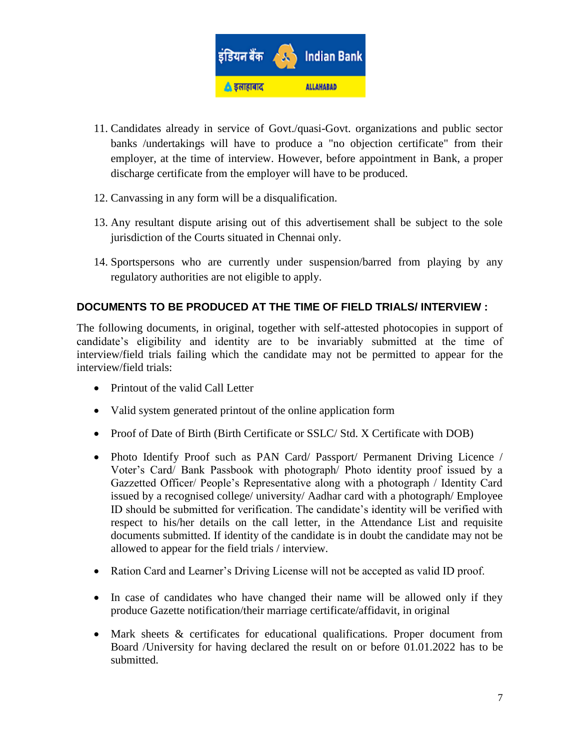

- 11. Candidates already in service of Govt./quasi-Govt. organizations and public sector banks /undertakings will have to produce a "no objection certificate" from their employer, at the time of interview. However, before appointment in Bank, a proper discharge certificate from the employer will have to be produced.
- 12. Canvassing in any form will be a disqualification.
- 13. Any resultant dispute arising out of this advertisement shall be subject to the sole jurisdiction of the Courts situated in Chennai only.
- 14. Sportspersons who are currently under suspension/barred from playing by any regulatory authorities are not eligible to apply.

# **DOCUMENTS TO BE PRODUCED AT THE TIME OF FIELD TRIALS/ INTERVIEW :**

The following documents, in original, together with self-attested photocopies in support of candidate"s eligibility and identity are to be invariably submitted at the time of interview/field trials failing which the candidate may not be permitted to appear for the interview/field trials:

- Printout of the valid Call Letter
- Valid system generated printout of the online application form
- Proof of Date of Birth (Birth Certificate or SSLC/ Std. X Certificate with DOB)
- Photo Identify Proof such as PAN Card/ Passport/ Permanent Driving Licence / Voter"s Card/ Bank Passbook with photograph/ Photo identity proof issued by a Gazzetted Officer/ People"s Representative along with a photograph / Identity Card issued by a recognised college/ university/ Aadhar card with a photograph/ Employee ID should be submitted for verification. The candidate's identity will be verified with respect to his/her details on the call letter, in the Attendance List and requisite documents submitted. If identity of the candidate is in doubt the candidate may not be allowed to appear for the field trials / interview.
- Ration Card and Learner's Driving License will not be accepted as valid ID proof.
- In case of candidates who have changed their name will be allowed only if they produce Gazette notification/their marriage certificate/affidavit, in original
- Mark sheets & certificates for educational qualifications. Proper document from Board /University for having declared the result on or before 01.01.2022 has to be submitted.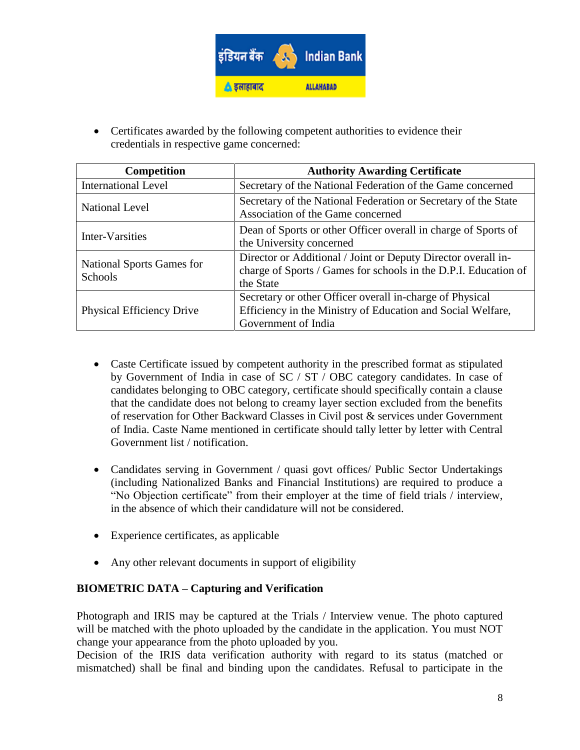

 Certificates awarded by the following competent authorities to evidence their credentials in respective game concerned:

| <b>Competition</b>                                 | <b>Authority Awarding Certificate</b>                                                                                                          |
|----------------------------------------------------|------------------------------------------------------------------------------------------------------------------------------------------------|
| <b>International Level</b>                         | Secretary of the National Federation of the Game concerned                                                                                     |
| <b>National Level</b>                              | Secretary of the National Federation or Secretary of the State<br>Association of the Game concerned                                            |
| Inter-Varsities                                    | Dean of Sports or other Officer overall in charge of Sports of<br>the University concerned                                                     |
| <b>National Sports Games for</b><br><b>Schools</b> | Director or Additional / Joint or Deputy Director overall in-<br>charge of Sports / Games for schools in the D.P.I. Education of<br>the State  |
| <b>Physical Efficiency Drive</b>                   | Secretary or other Officer overall in-charge of Physical<br>Efficiency in the Ministry of Education and Social Welfare,<br>Government of India |

- Caste Certificate issued by competent authority in the prescribed format as stipulated by Government of India in case of SC / ST / OBC category candidates. In case of candidates belonging to OBC category, certificate should specifically contain a clause that the candidate does not belong to creamy layer section excluded from the benefits of reservation for Other Backward Classes in Civil post & services under Government of India. Caste Name mentioned in certificate should tally letter by letter with Central Government list / notification.
- Candidates serving in Government / quasi govt offices/ Public Sector Undertakings (including Nationalized Banks and Financial Institutions) are required to produce a "No Objection certificate" from their employer at the time of field trials / interview, in the absence of which their candidature will not be considered.
- Experience certificates, as applicable
- Any other relevant documents in support of eligibility

### **BIOMETRIC DATA – Capturing and Verification**

Photograph and IRIS may be captured at the Trials / Interview venue. The photo captured will be matched with the photo uploaded by the candidate in the application. You must NOT change your appearance from the photo uploaded by you.

Decision of the IRIS data verification authority with regard to its status (matched or mismatched) shall be final and binding upon the candidates. Refusal to participate in the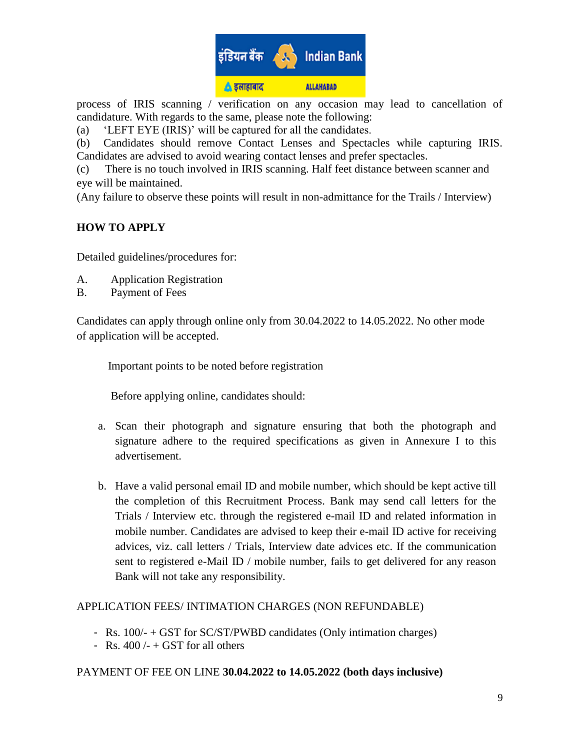

process of IRIS scanning / verification on any occasion may lead to cancellation of candidature. With regards to the same, please note the following:

(a) "LEFT EYE (IRIS)" will be captured for all the candidates.

(b) Candidates should remove Contact Lenses and Spectacles while capturing IRIS. Candidates are advised to avoid wearing contact lenses and prefer spectacles.

(c) There is no touch involved in IRIS scanning. Half feet distance between scanner and eye will be maintained.

(Any failure to observe these points will result in non-admittance for the Trails / Interview)

# **HOW TO APPLY**

Detailed guidelines/procedures for:

- A. Application Registration
- B. Payment of Fees

Candidates can apply through online only from 30.04.2022 to 14.05.2022. No other mode of application will be accepted.

Important points to be noted before registration

Before applying online, candidates should:

- a. Scan their photograph and signature ensuring that both the photograph and signature adhere to the required specifications as given in Annexure I to this advertisement.
- b. Have a valid personal email ID and mobile number, which should be kept active till the completion of this Recruitment Process. Bank may send call letters for the Trials / Interview etc. through the registered e-mail ID and related information in mobile number. Candidates are advised to keep their e-mail ID active for receiving advices, viz. call letters / Trials, Interview date advices etc. If the communication sent to registered e-Mail ID / mobile number, fails to get delivered for any reason Bank will not take any responsibility.

### APPLICATION FEES/ INTIMATION CHARGES (NON REFUNDABLE)

- Rs. 100/- + GST for SC/ST/PWBD candidates (Only intimation charges)
- Rs.  $400/- + GST$  for all others

# PAYMENT OF FEE ON LINE **30.04.2022 to 14.05.2022 (both days inclusive)**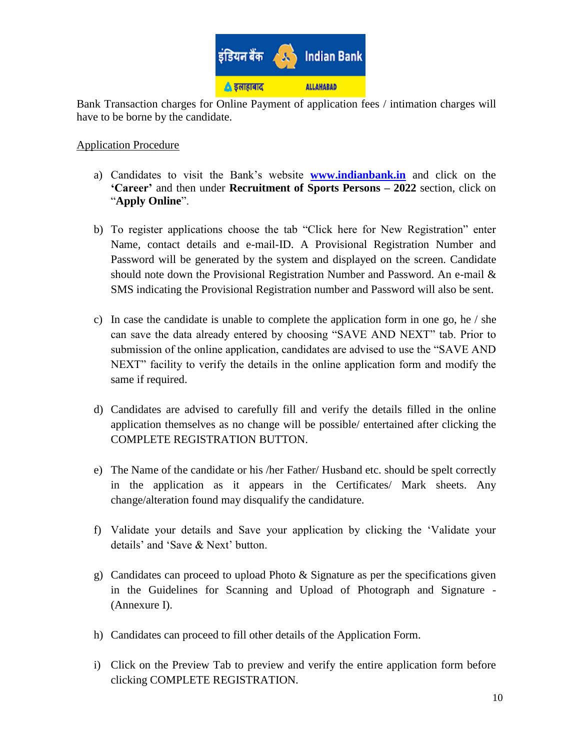

Bank Transaction charges for Online Payment of application fees / intimation charges will have to be borne by the candidate.

#### Application Procedure

- a) Candidates to visit the Bank"s website **[www.indianbank.in](http://www.indianbank.in/)** and click on the **'Career'** and then under **Recruitment of Sports Persons – 2022** section, click on "**Apply Online**".
- b) To register applications choose the tab "Click here for New Registration" enter Name, contact details and e-mail-ID. A Provisional Registration Number and Password will be generated by the system and displayed on the screen. Candidate should note down the Provisional Registration Number and Password. An e-mail & SMS indicating the Provisional Registration number and Password will also be sent.
- c) In case the candidate is unable to complete the application form in one go, he  $/$  she can save the data already entered by choosing "SAVE AND NEXT" tab. Prior to submission of the online application, candidates are advised to use the "SAVE AND NEXT" facility to verify the details in the online application form and modify the same if required.
- d) Candidates are advised to carefully fill and verify the details filled in the online application themselves as no change will be possible/ entertained after clicking the COMPLETE REGISTRATION BUTTON.
- e) The Name of the candidate or his /her Father/ Husband etc. should be spelt correctly in the application as it appears in the Certificates/ Mark sheets. Any change/alteration found may disqualify the candidature.
- f) Validate your details and Save your application by clicking the "Validate your details' and 'Save & Next' button.
- g) Candidates can proceed to upload Photo & Signature as per the specifications given in the Guidelines for Scanning and Upload of Photograph and Signature - (Annexure I).
- h) Candidates can proceed to fill other details of the Application Form.
- i) Click on the Preview Tab to preview and verify the entire application form before clicking COMPLETE REGISTRATION.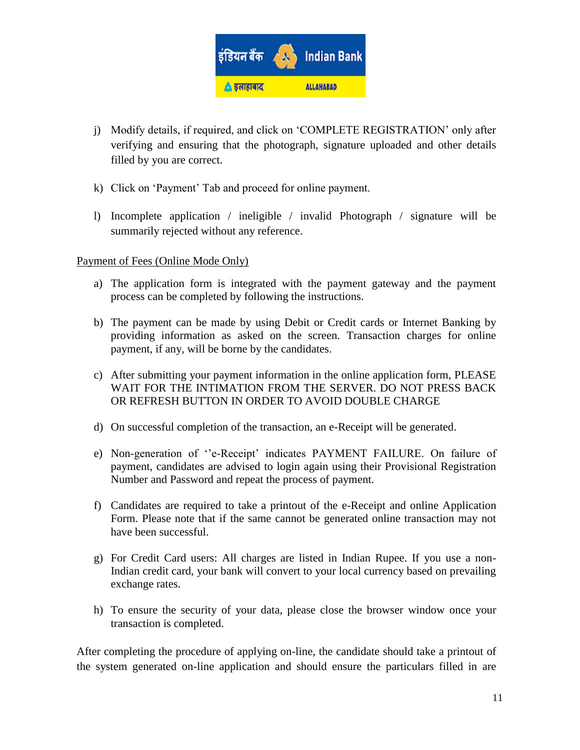

- j) Modify details, if required, and click on "COMPLETE REGISTRATION" only after verifying and ensuring that the photograph, signature uploaded and other details filled by you are correct.
- k) Click on "Payment" Tab and proceed for online payment.
- l) Incomplete application / ineligible / invalid Photograph / signature will be summarily rejected without any reference.

#### Payment of Fees (Online Mode Only)

- a) The application form is integrated with the payment gateway and the payment process can be completed by following the instructions.
- b) The payment can be made by using Debit or Credit cards or Internet Banking by providing information as asked on the screen. Transaction charges for online payment, if any, will be borne by the candidates.
- c) After submitting your payment information in the online application form, PLEASE WAIT FOR THE INTIMATION FROM THE SERVER. DO NOT PRESS BACK OR REFRESH BUTTON IN ORDER TO AVOID DOUBLE CHARGE
- d) On successful completion of the transaction, an e-Receipt will be generated.
- e) Non-generation of "e-Receipt" indicates PAYMENT FAILURE. On failure of payment, candidates are advised to login again using their Provisional Registration Number and Password and repeat the process of payment.
- f) Candidates are required to take a printout of the e-Receipt and online Application Form. Please note that if the same cannot be generated online transaction may not have been successful.
- g) For Credit Card users: All charges are listed in Indian Rupee. If you use a non-Indian credit card, your bank will convert to your local currency based on prevailing exchange rates.
- h) To ensure the security of your data, please close the browser window once your transaction is completed.

After completing the procedure of applying on-line, the candidate should take a printout of the system generated on-line application and should ensure the particulars filled in are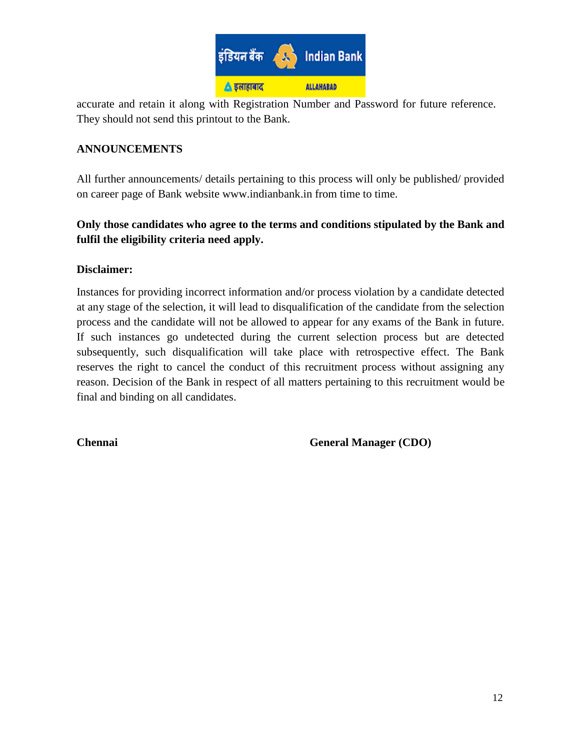

accurate and retain it along with Registration Number and Password for future reference. They should not send this printout to the Bank.

### **ANNOUNCEMENTS**

All further announcements/ details pertaining to this process will only be published/ provided on career page of Bank website www.indianbank.in from time to time.

# **Only those candidates who agree to the terms and conditions stipulated by the Bank and fulfil the eligibility criteria need apply.**

### **Disclaimer:**

Instances for providing incorrect information and/or process violation by a candidate detected at any stage of the selection, it will lead to disqualification of the candidate from the selection process and the candidate will not be allowed to appear for any exams of the Bank in future. If such instances go undetected during the current selection process but are detected subsequently, such disqualification will take place with retrospective effect. The Bank reserves the right to cancel the conduct of this recruitment process without assigning any reason. Decision of the Bank in respect of all matters pertaining to this recruitment would be final and binding on all candidates.

**Chennai** General Manager (CDO)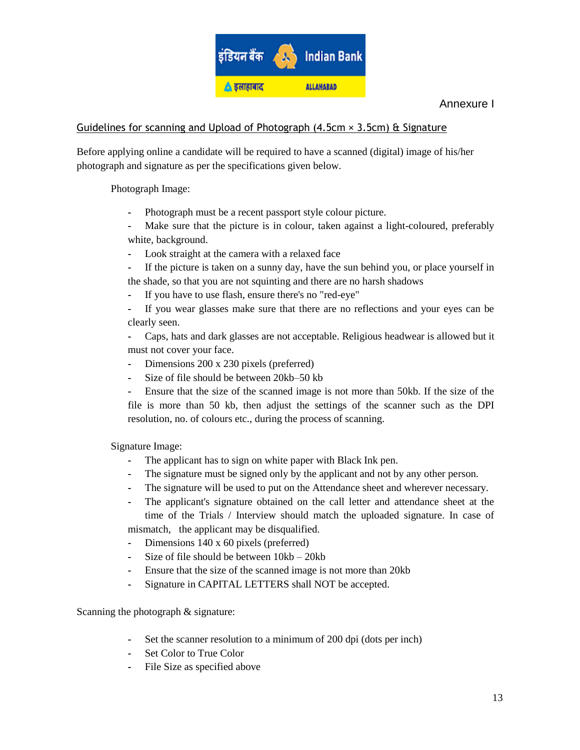

#### Annexure I

#### Guidelines for scanning and Upload of Photograph  $(4.5cm \times 3.5cm)$  & Signature

Before applying online a candidate will be required to have a scanned (digital) image of his/her photograph and signature as per the specifications given below.

Photograph Image:

- **-** Photograph must be a recent passport style colour picture.
- **-** Make sure that the picture is in colour, taken against a light-coloured, preferably white, background.
- **-** Look straight at the camera with a relaxed face
- **-** If the picture is taken on a sunny day, have the sun behind you, or place yourself in the shade, so that you are not squinting and there are no harsh shadows
- **-** If you have to use flash, ensure there's no "red-eye"
- **-** If you wear glasses make sure that there are no reflections and your eyes can be clearly seen.
- **-** Caps, hats and dark glasses are not acceptable. Religious headwear is allowed but it must not cover your face.
- **-** Dimensions 200 x 230 pixels (preferred)
- **-** Size of file should be between 20kb–50 kb
- **-** Ensure that the size of the scanned image is not more than 50kb. If the size of the file is more than 50 kb, then adjust the settings of the scanner such as the DPI resolution, no. of colours etc., during the process of scanning.

Signature Image:

- **-** The applicant has to sign on white paper with Black Ink pen.
- **-** The signature must be signed only by the applicant and not by any other person.
- **-** The signature will be used to put on the Attendance sheet and wherever necessary.
- **-** The applicant's signature obtained on the call letter and attendance sheet at the time of the Trials / Interview should match the uploaded signature. In case of mismatch, the applicant may be disqualified.

- **-** Dimensions 140 x 60 pixels (preferred)
- **-** Size of file should be between 10kb 20kb
- **-** Ensure that the size of the scanned image is not more than 20kb
- **-** Signature in CAPITAL LETTERS shall NOT be accepted.

Scanning the photograph  $&$  signature:

- **-** Set the scanner resolution to a minimum of 200 dpi (dots per inch)
- **-** Set Color to True Color
- File Size as specified above